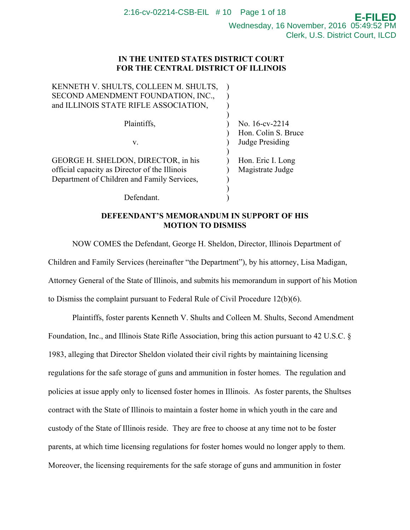Wednesday, 16 November, 2016 05:49:52 PM Clerk, U.S. District Court, ILCD

**E-FILED**

# **IN THE UNITED STATES DISTRICT COURT FOR THE CENTRAL DISTRICT OF ILLINOIS**

| KENNETH V. SHULTS, COLLEEN M. SHULTS,<br>SECOND AMENDMENT FOUNDATION, INC.,                                                         |                                       |
|-------------------------------------------------------------------------------------------------------------------------------------|---------------------------------------|
| and ILLINOIS STATE RIFLE ASSOCIATION,                                                                                               |                                       |
| Plaintiffs,                                                                                                                         | No. 16-cv-2214<br>Hon. Colin S. Bruce |
| V.                                                                                                                                  | Judge Presiding                       |
| GEORGE H. SHELDON, DIRECTOR, in his<br>official capacity as Director of the Illinois<br>Department of Children and Family Services, | Hon. Eric I. Long<br>Magistrate Judge |
| Defendant                                                                                                                           |                                       |

# **DEFEENDANT'S MEMORANDUM IN SUPPORT OF HIS MOTION TO DISMISS**

 NOW COMES the Defendant, George H. Sheldon, Director, Illinois Department of Children and Family Services (hereinafter "the Department"), by his attorney, Lisa Madigan, Attorney General of the State of Illinois, and submits his memorandum in support of his Motion to Dismiss the complaint pursuant to Federal Rule of Civil Procedure 12(b)(6).

Plaintiffs, foster parents Kenneth V. Shults and Colleen M. Shults, Second Amendment Foundation, Inc., and Illinois State Rifle Association, bring this action pursuant to 42 U.S.C. § 1983, alleging that Director Sheldon violated their civil rights by maintaining licensing regulations for the safe storage of guns and ammunition in foster homes. The regulation and policies at issue apply only to licensed foster homes in Illinois. As foster parents, the Shultses contract with the State of Illinois to maintain a foster home in which youth in the care and custody of the State of Illinois reside. They are free to choose at any time not to be foster parents, at which time licensing regulations for foster homes would no longer apply to them. Moreover, the licensing requirements for the safe storage of guns and ammunition in foster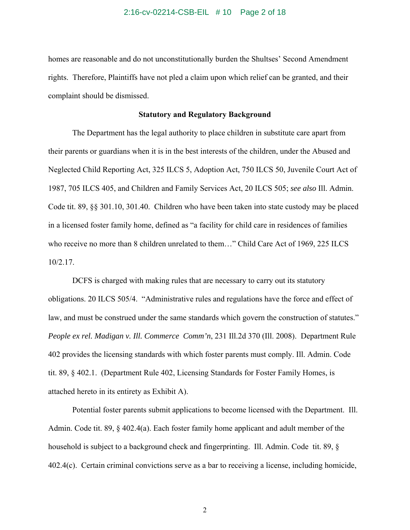#### 2:16-cv-02214-CSB-EIL # 10 Page 2 of 18

homes are reasonable and do not unconstitutionally burden the Shultses' Second Amendment rights. Therefore, Plaintiffs have not pled a claim upon which relief can be granted, and their complaint should be dismissed.

### **Statutory and Regulatory Background**

 The Department has the legal authority to place children in substitute care apart from their parents or guardians when it is in the best interests of the children, under the Abused and Neglected Child Reporting Act, 325 ILCS 5, Adoption Act, 750 ILCS 50, Juvenile Court Act of 1987, 705 ILCS 405, and Children and Family Services Act, 20 ILCS 505; *see also* Ill. Admin. Code tit. 89, §§ 301.10, 301.40.Children who have been taken into state custody may be placed in a licensed foster family home, defined as "a facility for child care in residences of families who receive no more than 8 children unrelated to them…" Child Care Act of 1969, 225 ILCS 10/2.17.

 DCFS is charged with making rules that are necessary to carry out its statutory obligations. 20 ILCS 505/4. "Administrative rules and regulations have the force and effect of law, and must be construed under the same standards which govern the construction of statutes." *People ex rel. Madigan v. Ill. Commerce Comm'n*, 231 Ill.2d 370 (Ill. 2008). Department Rule 402 provides the licensing standards with which foster parents must comply. Ill. Admin. Code tit. 89, § 402.1. (Department Rule 402, Licensing Standards for Foster Family Homes, is attached hereto in its entirety as Exhibit A).

Potential foster parents submit applications to become licensed with the Department. Ill. Admin. Code tit. 89, § 402.4(a). Each foster family home applicant and adult member of the household is subject to a background check and fingerprinting. Ill. Admin. Code tit. 89, § 402.4(c). Certain criminal convictions serve as a bar to receiving a license, including homicide,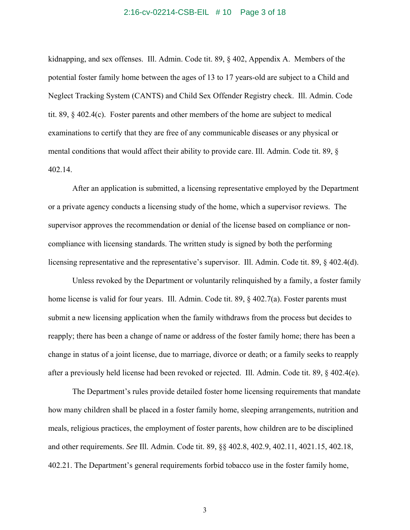#### 2:16-cv-02214-CSB-EIL # 10 Page 3 of 18

kidnapping, and sex offenses. Ill. Admin. Code tit. 89, § 402, Appendix A. Members of the potential foster family home between the ages of 13 to 17 years-old are subject to a Child and Neglect Tracking System (CANTS) and Child Sex Offender Registry check. Ill. Admin. Code tit. 89, § 402.4(c). Foster parents and other members of the home are subject to medical examinations to certify that they are free of any communicable diseases or any physical or mental conditions that would affect their ability to provide care. Ill. Admin. Code tit. 89, § 402.14.

 After an application is submitted, a licensing representative employed by the Department or a private agency conducts a licensing study of the home, which a supervisor reviews. The supervisor approves the recommendation or denial of the license based on compliance or noncompliance with licensing standards. The written study is signed by both the performing licensing representative and the representative's supervisor. Ill. Admin. Code tit. 89, § 402.4(d).

 Unless revoked by the Department or voluntarily relinquished by a family, a foster family home license is valid for four years. Ill. Admin. Code tit. 89, § 402.7(a). Foster parents must submit a new licensing application when the family withdraws from the process but decides to reapply; there has been a change of name or address of the foster family home; there has been a change in status of a joint license, due to marriage, divorce or death; or a family seeks to reapply after a previously held license had been revoked or rejected. Ill. Admin. Code tit. 89, § 402.4(e).

 The Department's rules provide detailed foster home licensing requirements that mandate how many children shall be placed in a foster family home, sleeping arrangements, nutrition and meals, religious practices, the employment of foster parents, how children are to be disciplined and other requirements. *See* Ill. Admin. Code tit. 89, §§ 402.8, 402.9, 402.11, 4021.15, 402.18, 402.21. The Department's general requirements forbid tobacco use in the foster family home,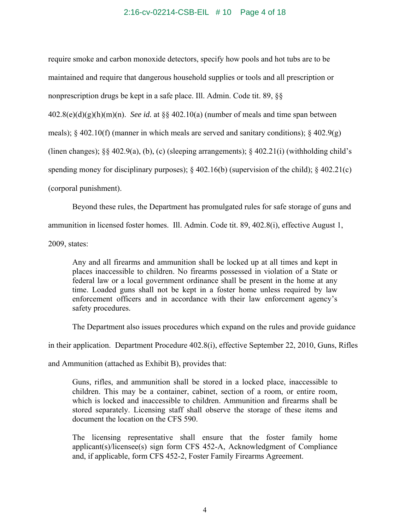### 2:16-cv-02214-CSB-EIL # 10 Page 4 of 18

require smoke and carbon monoxide detectors, specify how pools and hot tubs are to be maintained and require that dangerous household supplies or tools and all prescription or nonprescription drugs be kept in a safe place. Ill. Admin. Code tit. 89, §§

402.8(e)(d)(g)(h)(m)(n). *See id.* at §§ 402.10(a) (number of meals and time span between

meals);  $\S$  402.10(f) (manner in which meals are served and sanitary conditions);  $\S$  402.9(g)

(linen changes);  $\S$ § 402.9(a), (b), (c) (sleeping arrangements);  $\S$  402.21(i) (withholding child's

spending money for disciplinary purposes); § 402.16(b) (supervision of the child); § 402.21(c)

(corporal punishment).

 Beyond these rules, the Department has promulgated rules for safe storage of guns and ammunition in licensed foster homes. Ill. Admin. Code tit. 89, 402.8(i), effective August 1,

2009, states:

Any and all firearms and ammunition shall be locked up at all times and kept in places inaccessible to children. No firearms possessed in violation of a State or federal law or a local government ordinance shall be present in the home at any time. Loaded guns shall not be kept in a foster home unless required by law enforcement officers and in accordance with their law enforcement agency's safety procedures.

The Department also issues procedures which expand on the rules and provide guidance

in their application. Department Procedure 402.8(i), effective September 22, 2010, Guns, Rifles

and Ammunition (attached as Exhibit B), provides that:

Guns, rifles, and ammunition shall be stored in a locked place, inaccessible to children. This may be a container, cabinet, section of a room, or entire room, which is locked and inaccessible to children. Ammunition and firearms shall be stored separately. Licensing staff shall observe the storage of these items and document the location on the CFS 590.

The licensing representative shall ensure that the foster family home applicant(s)/licensee(s) sign form CFS 452-A, Acknowledgment of Compliance and, if applicable, form CFS 452-2, Foster Family Firearms Agreement.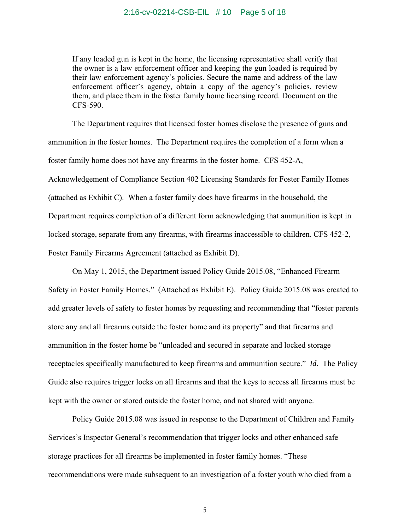If any loaded gun is kept in the home, the licensing representative shall verify that the owner is a law enforcement officer and keeping the gun loaded is required by their law enforcement agency's policies. Secure the name and address of the law enforcement officer's agency, obtain a copy of the agency's policies, review them, and place them in the foster family home licensing record. Document on the CFS-590.

 The Department requires that licensed foster homes disclose the presence of guns and ammunition in the foster homes. The Department requires the completion of a form when a foster family home does not have any firearms in the foster home. CFS 452-A, Acknowledgement of Compliance Section 402 Licensing Standards for Foster Family Homes (attached as Exhibit C). When a foster family does have firearms in the household, the Department requires completion of a different form acknowledging that ammunition is kept in locked storage, separate from any firearms, with firearms inaccessible to children. CFS 452-2, Foster Family Firearms Agreement (attached as Exhibit D).

 On May 1, 2015, the Department issued Policy Guide 2015.08, "Enhanced Firearm Safety in Foster Family Homes." (Attached as Exhibit E). Policy Guide 2015.08 was created to add greater levels of safety to foster homes by requesting and recommending that "foster parents store any and all firearms outside the foster home and its property" and that firearms and ammunition in the foster home be "unloaded and secured in separate and locked storage receptacles specifically manufactured to keep firearms and ammunition secure." *Id.* The Policy Guide also requires trigger locks on all firearms and that the keys to access all firearms must be kept with the owner or stored outside the foster home, and not shared with anyone.

 Policy Guide 2015.08 was issued in response to the Department of Children and Family Services's Inspector General's recommendation that trigger locks and other enhanced safe storage practices for all firearms be implemented in foster family homes. "These recommendations were made subsequent to an investigation of a foster youth who died from a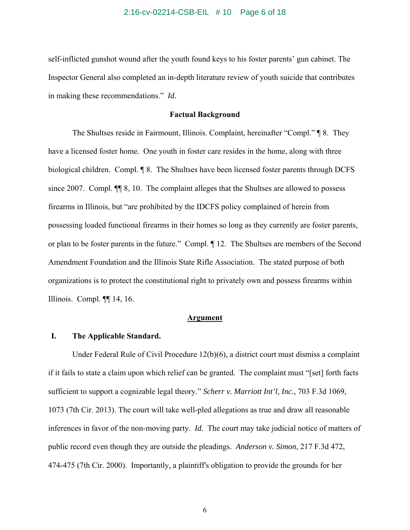#### 2:16-cv-02214-CSB-EIL # 10 Page 6 of 18

self-inflicted gunshot wound after the youth found keys to his foster parents' gun cabinet. The Inspector General also completed an in-depth literature review of youth suicide that contributes in making these recommendations." *Id.* 

### **Factual Background**

The Shultses reside in Fairmount, Illinois. Complaint, hereinafter "Compl." ¶ 8. They have a licensed foster home. One youth in foster care resides in the home, along with three biological children. Compl. ¶ 8. The Shultses have been licensed foster parents through DCFS since 2007. Compl.  $\P$  8, 10. The complaint alleges that the Shultses are allowed to possess firearms in Illinois, but "are prohibited by the IDCFS policy complained of herein from possessing loaded functional firearms in their homes so long as they currently are foster parents, or plan to be foster parents in the future." Compl. ¶ 12. The Shultses are members of the Second Amendment Foundation and the Illinois State Rifle Association. The stated purpose of both organizations is to protect the constitutional right to privately own and possess firearms within Illinois. Compl. ¶¶ 14, 16.

#### **Argument**

### **I. The Applicable Standard.**

Under Federal Rule of Civil Procedure 12(b)(6), a district court must dismiss a complaint if it fails to state a claim upon which relief can be granted. The complaint must "[set] forth facts sufficient to support a cognizable legal theory." *Scherr v. Marriott Int'l, Inc.*, 703 F.3d 1069, 1073 (7th Cir. 2013). The court will take well-pled allegations as true and draw all reasonable inferences in favor of the non-moving party. *Id.* The court may take judicial notice of matters of public record even though they are outside the pleadings. *Anderson v. Simon*, 217 F.3d 472, 474-475 (7th Cir. 2000). Importantly, a plaintiff's obligation to provide the grounds for her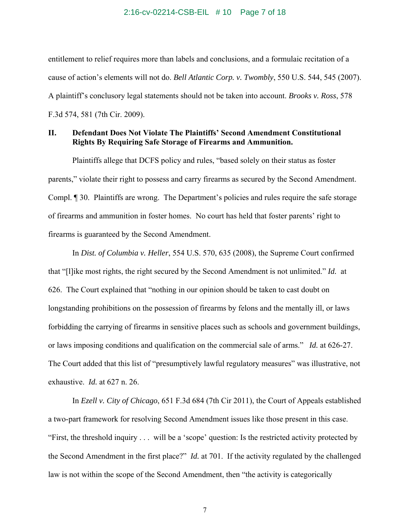#### 2:16-cv-02214-CSB-EIL # 10 Page 7 of 18

entitlement to relief requires more than labels and conclusions, and a formulaic recitation of a cause of action's elements will not do. *Bell Atlantic Corp. v. Twombly*, 550 U.S. 544, 545 (2007). A plaintiff's conclusory legal statements should not be taken into account. *Brooks v. Ross*, 578 F.3d 574, 581 (7th Cir. 2009).

# **II. Defendant Does Not Violate The Plaintiffs' Second Amendment Constitutional Rights By Requiring Safe Storage of Firearms and Ammunition.**

Plaintiffs allege that DCFS policy and rules, "based solely on their status as foster parents," violate their right to possess and carry firearms as secured by the Second Amendment. Compl. ¶ 30. Plaintiffs are wrong. The Department's policies and rules require the safe storage of firearms and ammunition in foster homes. No court has held that foster parents' right to firearms is guaranteed by the Second Amendment.

In *Dist. of Columbia v. Heller*, 554 U.S. 570, 635 (2008), the Supreme Court confirmed that "[l]ike most rights, the right secured by the Second Amendment is not unlimited." *Id.* at 626. The Court explained that "nothing in our opinion should be taken to cast doubt on longstanding prohibitions on the possession of firearms by felons and the mentally ill, or laws forbidding the carrying of firearms in sensitive places such as schools and government buildings, or laws imposing conditions and qualification on the commercial sale of arms." *Id.* at 626-27. The Court added that this list of "presumptively lawful regulatory measures" was illustrative, not exhaustive. *Id.* at 627 n. 26.

In *Ezell v. City of Chicago*, 651 F.3d 684 (7th Cir 2011), the Court of Appeals established a two-part framework for resolving Second Amendment issues like those present in this case. "First, the threshold inquiry . . . will be a 'scope' question: Is the restricted activity protected by the Second Amendment in the first place?" *Id.* at 701. If the activity regulated by the challenged law is not within the scope of the Second Amendment, then "the activity is categorically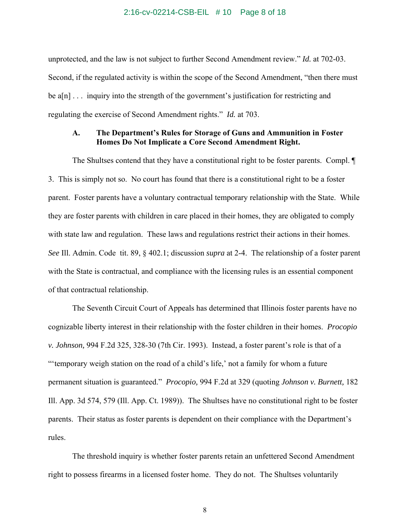#### 2:16-cv-02214-CSB-EIL # 10 Page 8 of 18

unprotected, and the law is not subject to further Second Amendment review." *Id.* at 702-03. Second, if the regulated activity is within the scope of the Second Amendment, "then there must be a[n] . . . inquiry into the strength of the government's justification for restricting and regulating the exercise of Second Amendment rights." *Id.* at 703.

### **A. The Department's Rules for Storage of Guns and Ammunition in Foster Homes Do Not Implicate a Core Second Amendment Right.**

The Shultses contend that they have a constitutional right to be foster parents. Compl. ¶ 3. This is simply not so. No court has found that there is a constitutional right to be a foster parent. Foster parents have a voluntary contractual temporary relationship with the State. While they are foster parents with children in care placed in their homes, they are obligated to comply with state law and regulation. These laws and regulations restrict their actions in their homes. *See* Ill. Admin. Code tit. 89, § 402.1; discussion *supra* at 2-4. The relationship of a foster parent with the State is contractual, and compliance with the licensing rules is an essential component of that contractual relationship.

The Seventh Circuit Court of Appeals has determined that Illinois foster parents have no cognizable liberty interest in their relationship with the foster children in their homes. *Procopio v. Johnson,* 994 F.2d 325, 328-30 (7th Cir. 1993). Instead, a foster parent's role is that of a "'temporary weigh station on the road of a child's life,' not a family for whom a future permanent situation is guaranteed." *Procopio,* 994 F.2d at 329 (quoting *Johnson v. Burnett,* 182 Ill. App. 3d 574, 579 (Ill. App. Ct. 1989)). The Shultses have no constitutional right to be foster parents. Their status as foster parents is dependent on their compliance with the Department's rules.

The threshold inquiry is whether foster parents retain an unfettered Second Amendment right to possess firearms in a licensed foster home. They do not. The Shultses voluntarily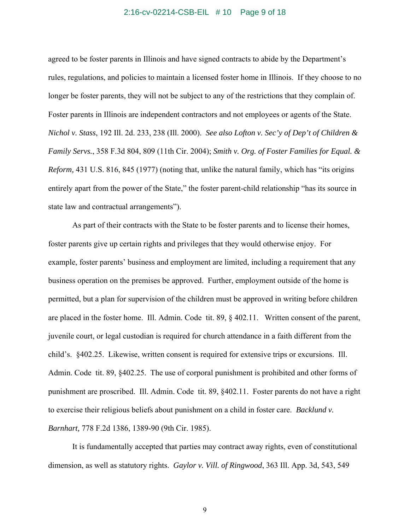#### 2:16-cv-02214-CSB-EIL # 10 Page 9 of 18

agreed to be foster parents in Illinois and have signed contracts to abide by the Department's rules, regulations, and policies to maintain a licensed foster home in Illinois. If they choose to no longer be foster parents, they will not be subject to any of the restrictions that they complain of. Foster parents in Illinois are independent contractors and not employees or agents of the State. *Nichol v. Stass*, 192 Ill. 2d. 233, 238 (Ill. 2000). *See also Lofton v. Sec'y of Dep't of Children & Family Servs.*, 358 F.3d 804, 809 (11th Cir. 2004); *Smith v. Org. of Foster Families for Equal. & Reform,* 431 U.S. 816, 845 (1977) (noting that, unlike the natural family, which has "its origins entirely apart from the power of the State," the foster parent-child relationship "has its source in state law and contractual arrangements").

 As part of their contracts with the State to be foster parents and to license their homes, foster parents give up certain rights and privileges that they would otherwise enjoy. For example, foster parents' business and employment are limited, including a requirement that any business operation on the premises be approved. Further, employment outside of the home is permitted, but a plan for supervision of the children must be approved in writing before children are placed in the foster home. Ill. Admin. Code tit. 89, § 402.11. Written consent of the parent, juvenile court, or legal custodian is required for church attendance in a faith different from the child's. §402.25. Likewise, written consent is required for extensive trips or excursions. Ill. Admin. Code tit. 89, §402.25. The use of corporal punishment is prohibited and other forms of punishment are proscribed. Ill. Admin. Code tit. 89, §402.11. Foster parents do not have a right to exercise their religious beliefs about punishment on a child in foster care. *Backlund v. Barnhart,* 778 F.2d 1386, 1389-90 (9th Cir. 1985).

It is fundamentally accepted that parties may contract away rights, even of constitutional dimension, as well as statutory rights. *Gaylor v. Vill. of Ringwood*, 363 Ill. App. 3d, 543, 549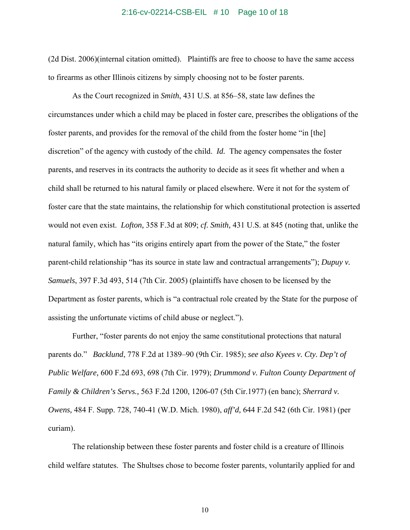#### 2:16-cv-02214-CSB-EIL # 10 Page 10 of 18

(2d Dist. 2006)(internal citation omitted). Plaintiffs are free to choose to have the same access to firearms as other Illinois citizens by simply choosing not to be foster parents.

As the Court recognized in *Smith*, 431 U.S. at 856–58, state law defines the circumstances under which a child may be placed in foster care, prescribes the obligations of the foster parents, and provides for the removal of the child from the foster home "in [the] discretion" of the agency with custody of the child. *Id.* The agency compensates the foster parents, and reserves in its contracts the authority to decide as it sees fit whether and when a child shall be returned to his natural family or placed elsewhere. Were it not for the system of foster care that the state maintains, the relationship for which constitutional protection is asserted would not even exist. *Lofton,* 358 F.3d at 809; *cf. Smith,* 431 U.S. at 845 (noting that, unlike the natural family, which has "its origins entirely apart from the power of the State," the foster parent-child relationship "has its source in state law and contractual arrangements"); *Dupuy v. Samuels*, 397 F.3d 493, 514 (7th Cir. 2005) (plaintiffs have chosen to be licensed by the Department as foster parents, which is "a contractual role created by the State for the purpose of assisting the unfortunate victims of child abuse or neglect.").

Further, "foster parents do not enjoy the same constitutional protections that natural parents do." *Backlund*, 778 F.2d at 1389–90 (9th Cir. 1985); *see also Kyees v. Cty. Dep't of Public Welfare,* 600 F.2d 693, 698 (7th Cir. 1979); *Drummond v. Fulton County Department of Family & Children's Servs.,* 563 F.2d 1200, 1206-07 (5th Cir.1977) (en banc); *Sherrard v. Owens,* 484 F. Supp. 728, 740-41 (W.D. Mich. 1980), *aff'd,* 644 F.2d 542 (6th Cir. 1981) (per curiam).

The relationship between these foster parents and foster child is a creature of Illinois child welfare statutes. The Shultses chose to become foster parents, voluntarily applied for and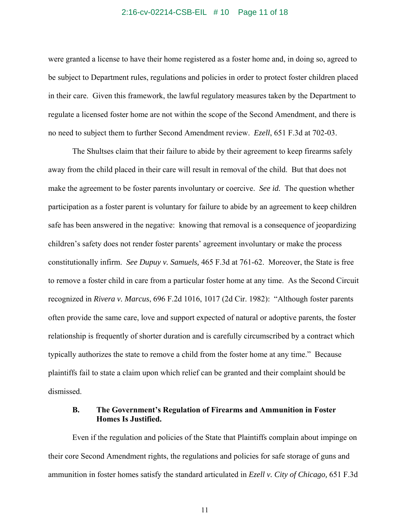#### 2:16-cv-02214-CSB-EIL # 10 Page 11 of 18

were granted a license to have their home registered as a foster home and, in doing so, agreed to be subject to Department rules, regulations and policies in order to protect foster children placed in their care. Given this framework, the lawful regulatory measures taken by the Department to regulate a licensed foster home are not within the scope of the Second Amendment, and there is no need to subject them to further Second Amendment review. *Ezell*, 651 F.3d at 702-03.

The Shultses claim that their failure to abide by their agreement to keep firearms safely away from the child placed in their care will result in removal of the child. But that does not make the agreement to be foster parents involuntary or coercive. *See id.* The question whether participation as a foster parent is voluntary for failure to abide by an agreement to keep children safe has been answered in the negative: knowing that removal is a consequence of jeopardizing children's safety does not render foster parents' agreement involuntary or make the process constitutionally infirm. *See Dupuy v. Samuels,* 465 F.3d at 761-62. Moreover, the State is free to remove a foster child in care from a particular foster home at any time. As the Second Circuit recognized in *Rivera v. Marcus*, 696 F.2d 1016, 1017 (2d Cir. 1982): "Although foster parents often provide the same care, love and support expected of natural or adoptive parents, the foster relationship is frequently of shorter duration and is carefully circumscribed by a contract which typically authorizes the state to remove a child from the foster home at any time." Because plaintiffs fail to state a claim upon which relief can be granted and their complaint should be dismissed.

### **B. The Government's Regulation of Firearms and Ammunition in Foster Homes Is Justified.**

 Even if the regulation and policies of the State that Plaintiffs complain about impinge on their core Second Amendment rights, the regulations and policies for safe storage of guns and ammunition in foster homes satisfy the standard articulated in *Ezell v. City of Chicago,* 651 F.3d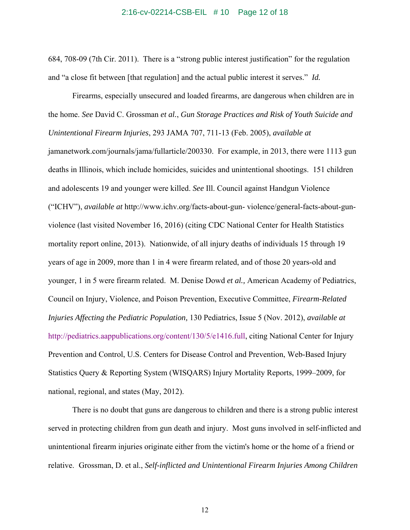#### 2:16-cv-02214-CSB-EIL # 10 Page 12 of 18

684, 708-09 (7th Cir. 2011). There is a "strong public interest justification" for the regulation and "a close fit between [that regulation] and the actual public interest it serves." *Id.* 

 Firearms, especially unsecured and loaded firearms, are dangerous when children are in the home. *See* David C. Grossman *et al.*, *Gun Storage Practices and Risk of Youth Suicide and Unintentional Firearm Injuries*, 293 JAMA 707, 711-13 (Feb. 2005), *available at*  jamanetwork.com/journals/jama/fullarticle/200330. For example, in 2013, there were 1113 gun deaths in Illinois, which include homicides, suicides and unintentional shootings. 151 children and adolescents 19 and younger were killed. *See* Ill. Council against Handgun Violence ("ICHV"), *available at* http://www.ichv.org/facts-about-gun- violence/general-facts-about-gunviolence (last visited November 16, 2016) (citing CDC National Center for Health Statistics mortality report online, 2013). Nationwide, of all injury deaths of individuals 15 through 19 years of age in 2009, more than 1 in 4 were firearm related, and of those 20 years-old and younger, 1 in 5 were firearm related. M. Denise Dowd *et al.,* American Academy of Pediatrics, Council on Injury, Violence, and Poison Prevention, Executive Committee, *Firearm-Related Injuries Affecting the Pediatric Population,* 130 Pediatrics, Issue 5 (Nov. 2012), *available at*  http://pediatrics.aappublications.org/content/130/5/e1416.full, citing National Center for Injury Prevention and Control, U.S. Centers for Disease Control and Prevention, Web-Based Injury Statistics Query & Reporting System (WISQARS) Injury Mortality Reports, 1999–2009, for national, regional, and states (May, 2012).

 There is no doubt that guns are dangerous to children and there is a strong public interest served in protecting children from gun death and injury. Most guns involved in self-inflicted and unintentional firearm injuries originate either from the victim's home or the home of a friend or relative. Grossman, D. et al., *Self-inflicted and Unintentional Firearm Injuries Among Children*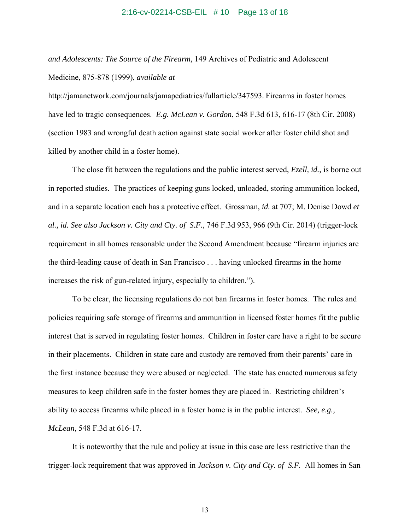#### 2:16-cv-02214-CSB-EIL # 10 Page 13 of 18

*and Adolescents: The Source of the Firearm,* 149 Archives of Pediatric and Adolescent Medicine, 875-878 (1999), *available at* 

http://jamanetwork.com/journals/jamapediatrics/fullarticle/347593. Firearms in foster homes have led to tragic consequences. *E.g. McLean v. Gordon*, 548 F.3d 613, 616-17 (8th Cir. 2008) (section 1983 and wrongful death action against state social worker after foster child shot and killed by another child in a foster home).

 The close fit between the regulations and the public interest served, *Ezell, id.,* is borne out in reported studies. The practices of keeping guns locked, unloaded, storing ammunition locked, and in a separate location each has a protective effect. Grossman, *id.* at 707; M. Denise Dowd *et al., id. See also Jackson v. City and Cty. of S.F.*, 746 F.3d 953, 966 (9th Cir. 2014) (trigger-lock requirement in all homes reasonable under the Second Amendment because "firearm injuries are the third-leading cause of death in San Francisco . . . having unlocked firearms in the home increases the risk of gun-related injury, especially to children.").

To be clear, the licensing regulations do not ban firearms in foster homes. The rules and policies requiring safe storage of firearms and ammunition in licensed foster homes fit the public interest that is served in regulating foster homes. Children in foster care have a right to be secure in their placements. Children in state care and custody are removed from their parents' care in the first instance because they were abused or neglected. The state has enacted numerous safety measures to keep children safe in the foster homes they are placed in. Restricting children's ability to access firearms while placed in a foster home is in the public interest. *See, e.g., McLean*, 548 F.3d at 616-17.

 It is noteworthy that the rule and policy at issue in this case are less restrictive than the trigger-lock requirement that was approved in *Jackson v. City and Cty. of S.F.* All homes in San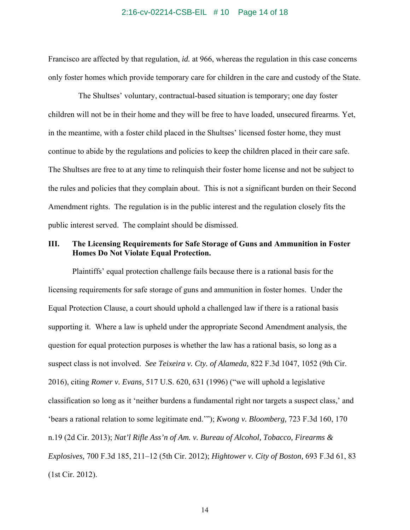#### 2:16-cv-02214-CSB-EIL # 10 Page 14 of 18

Francisco are affected by that regulation, *id.* at 966, whereas the regulation in this case concerns only foster homes which provide temporary care for children in the care and custody of the State.

 The Shultses' voluntary, contractual-based situation is temporary; one day foster children will not be in their home and they will be free to have loaded, unsecured firearms. Yet, in the meantime, with a foster child placed in the Shultses' licensed foster home, they must continue to abide by the regulations and policies to keep the children placed in their care safe. The Shultses are free to at any time to relinquish their foster home license and not be subject to the rules and policies that they complain about. This is not a significant burden on their Second Amendment rights. The regulation is in the public interest and the regulation closely fits the public interest served. The complaint should be dismissed.

# **III. The Licensing Requirements for Safe Storage of Guns and Ammunition in Foster Homes Do Not Violate Equal Protection.**

Plaintiffs' equal protection challenge fails because there is a rational basis for the licensing requirements for safe storage of guns and ammunition in foster homes. Under the Equal Protection Clause, a court should uphold a challenged law if there is a rational basis supporting it. Where a law is upheld under the appropriate Second Amendment analysis, the question for equal protection purposes is whether the law has a rational basis, so long as a suspect class is not involved. *See Teixeira v. Cty. of Alameda,* 822 F.3d 1047, 1052 (9th Cir. 2016), citing *Romer v. Evans,* 517 U.S. 620, 631 (1996) ("we will uphold a legislative classification so long as it 'neither burdens a fundamental right nor targets a suspect class,' and 'bears a rational relation to some legitimate end.'"); *Kwong v. Bloomberg,* 723 F.3d 160, 170 n.19 (2d Cir. 2013); *Nat'l Rifle Ass'n of Am. v. Bureau of Alcohol, Tobacco, Firearms & Explosives,* 700 F.3d 185, 211–12 (5th Cir. 2012); *Hightower v. City of Boston,* 693 F.3d 61, 83 (1st Cir. 2012).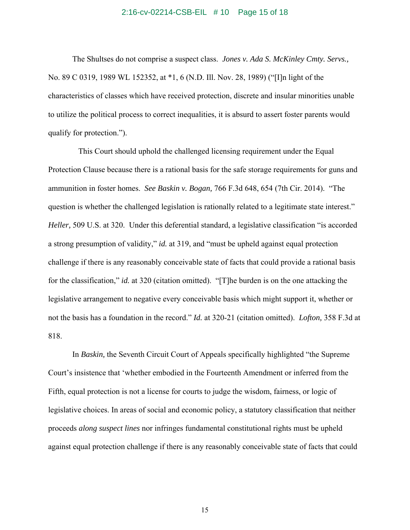#### 2:16-cv-02214-CSB-EIL # 10 Page 15 of 18

 The Shultses do not comprise a suspect class. *Jones v. Ada S. McKinley Cmty. Servs.,* No. 89 C 0319, 1989 WL 152352, at \*1, 6 (N.D. Ill. Nov. 28, 1989) ("[I]n light of the characteristics of classes which have received protection, discrete and insular minorities unable to utilize the political process to correct inequalities, it is absurd to assert foster parents would qualify for protection.").

This Court should uphold the challenged licensing requirement under the Equal Protection Clause because there is a rational basis for the safe storage requirements for guns and ammunition in foster homes. *See Baskin v. Bogan,* 766 F.3d 648, 654 (7th Cir. 2014). "The question is whether the challenged legislation is rationally related to a legitimate state interest." *Heller,* 509 U.S. at 320. Under this deferential standard, a legislative classification "is accorded a strong presumption of validity," *id.* at 319, and "must be upheld against equal protection challenge if there is any reasonably conceivable state of facts that could provide a rational basis for the classification," *id.* at 320 (citation omitted). "[T]he burden is on the one attacking the legislative arrangement to negative every conceivable basis which might support it, whether or not the basis has a foundation in the record." *Id.* at 320-21 (citation omitted). *Lofton,* 358 F.3d at 818.

 In *Baskin,* the Seventh Circuit Court of Appeals specifically highlighted "the Supreme Court's insistence that 'whether embodied in the Fourteenth Amendment or inferred from the Fifth, equal protection is not a license for courts to judge the wisdom, fairness, or logic of legislative choices. In areas of social and economic policy, a statutory classification that neither proceeds *along suspect lines* nor infringes fundamental constitutional rights must be upheld against equal protection challenge if there is any reasonably conceivable state of facts that could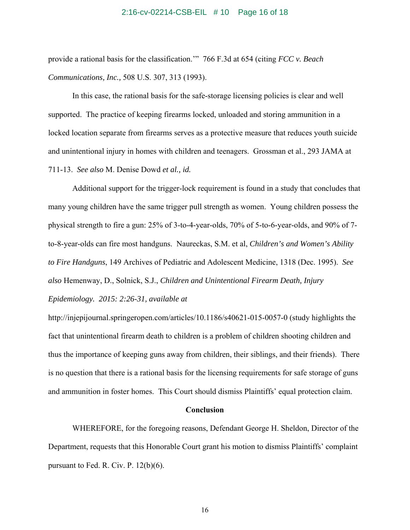### 2:16-cv-02214-CSB-EIL # 10 Page 16 of 18

provide a rational basis for the classification.'" 766 F.3d at 654 (citing *FCC v. Beach Communications, Inc.,* 508 U.S. 307, 313 (1993).

 In this case, the rational basis for the safe-storage licensing policies is clear and well supported. The practice of keeping firearms locked, unloaded and storing ammunition in a locked location separate from firearms serves as a protective measure that reduces youth suicide and unintentional injury in homes with children and teenagers. Grossman et al., 293 JAMA at 711-13. *See also* M. Denise Dowd *et al., id.* 

 Additional support for the trigger-lock requirement is found in a study that concludes that many young children have the same trigger pull strength as women. Young children possess the physical strength to fire a gun: 25% of 3-to-4-year-olds, 70% of 5-to-6-year-olds, and 90% of 7 to-8-year-olds can fire most handguns. Naureckas, S.M. et al, *Children's and Women's Ability to Fire Handguns*, 149 Archives of Pediatric and Adolescent Medicine, 1318 (Dec. 1995). *See also* Hemenway, D., Solnick, S.J., *Children and Unintentional Firearm Death, Injury Epidemiology. 2015: 2:26-31, available at* 

http://injepijournal.springeropen.com/articles/10.1186/s40621-015-0057-0 (study highlights the fact that unintentional firearm death to children is a problem of children shooting children and thus the importance of keeping guns away from children, their siblings, and their friends). There is no question that there is a rational basis for the licensing requirements for safe storage of guns and ammunition in foster homes. This Court should dismiss Plaintiffs' equal protection claim.

### **Conclusion**

WHEREFORE, for the foregoing reasons, Defendant George H. Sheldon, Director of the Department, requests that this Honorable Court grant his motion to dismiss Plaintiffs' complaint pursuant to Fed. R. Civ. P. 12(b)(6).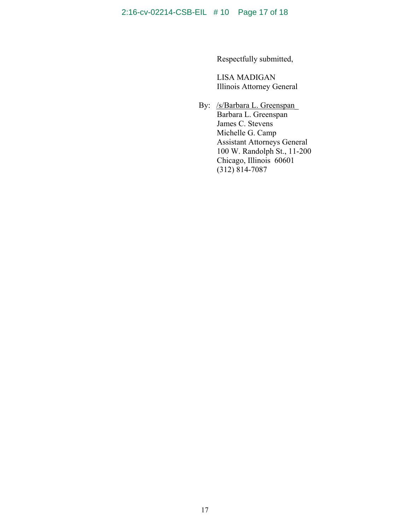Respectfully submitted,

 LISA MADIGAN Illinois Attorney General

By: /s/Barbara L. Greenspan\_ Barbara L. Greenspan James C. Stevens Michelle G. Camp Assistant Attorneys General 100 W. Randolph St., 11-200 Chicago, Illinois 60601 (312) 814-7087